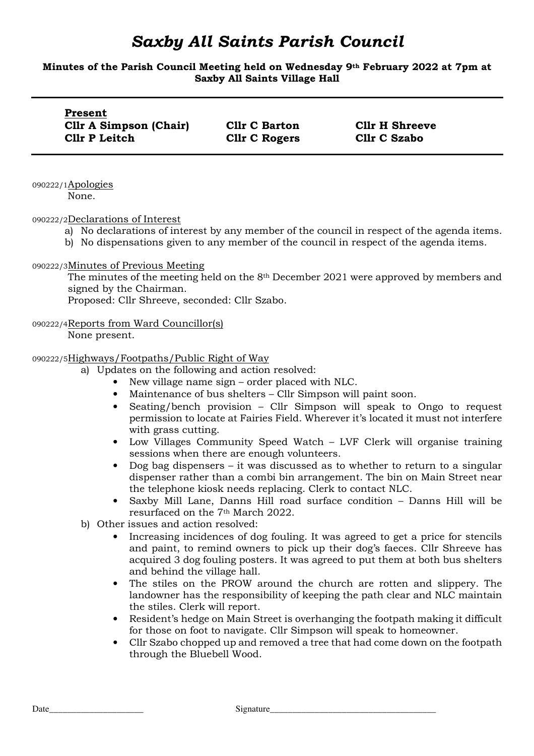#### **Minutes of the Parish Council Meeting held on Wednesday 9th February 2022 at 7pm at Saxby All Saints Village Hall**

| Present                       |                      |                       |
|-------------------------------|----------------------|-----------------------|
| <b>Cllr A Simpson (Chair)</b> | <b>Cllr C Barton</b> | <b>Cllr H Shreeve</b> |
| Cllr P Leitch                 | <b>Cllr C Rogers</b> | <b>Cllr C Szabo</b>   |

090222/1Apologies None.

090222/2Declarations of Interest

- a) No declarations of interest by any member of the council in respect of the agenda items.
- b) No dispensations given to any member of the council in respect of the agenda items.

#### 090222/3Minutes of Previous Meeting

The minutes of the meeting held on the 8th December 2021 were approved by members and signed by the Chairman.

Proposed: Cllr Shreeve, seconded: Cllr Szabo.

#### 090222/4Reports from Ward Councillor(s)

None present.

#### 090222/5Highways/Footpaths/Public Right of Way

- a) Updates on the following and action resolved:
	- New village name sign order placed with NLC.
	- Maintenance of bus shelters Cllr Simpson will paint soon.
	- Seating/bench provision Cllr Simpson will speak to Ongo to request permission to locate at Fairies Field. Wherever it's located it must not interfere with grass cutting.
	- Low Villages Community Speed Watch LVF Clerk will organise training sessions when there are enough volunteers.
	- Dog bag dispensers it was discussed as to whether to return to a singular dispenser rather than a combi bin arrangement. The bin on Main Street near the telephone kiosk needs replacing. Clerk to contact NLC.
	- Saxby Mill Lane, Danns Hill road surface condition Danns Hill will be resurfaced on the 7th March 2022.
- b) Other issues and action resolved:
	- Increasing incidences of dog fouling. It was agreed to get a price for stencils and paint, to remind owners to pick up their dog's faeces. Cllr Shreeve has acquired 3 dog fouling posters. It was agreed to put them at both bus shelters and behind the village hall.
	- The stiles on the PROW around the church are rotten and slippery. The landowner has the responsibility of keeping the path clear and NLC maintain the stiles. Clerk will report.
	- Resident's hedge on Main Street is overhanging the footpath making it difficult for those on foot to navigate. Cllr Simpson will speak to homeowner.
	- Cllr Szabo chopped up and removed a tree that had come down on the footpath through the Bluebell Wood.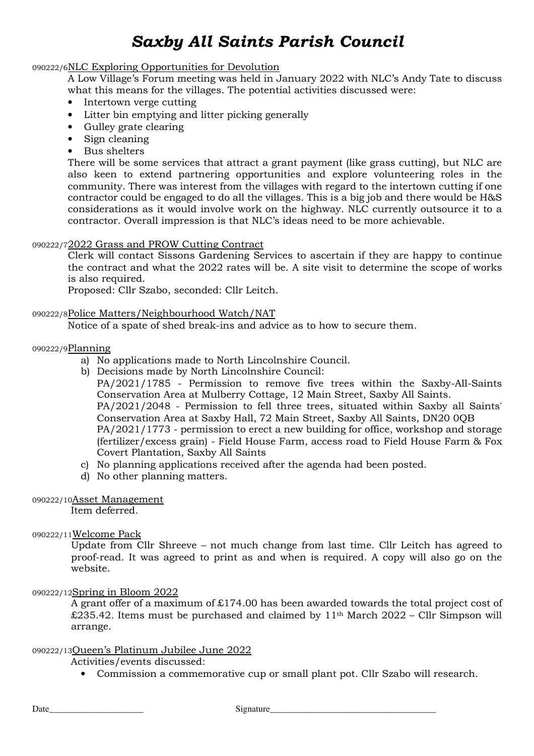# 090222/6NLC Exploring Opportunities for Devolution

A Low Village's Forum meeting was held in January 2022 with NLC's Andy Tate to discuss what this means for the villages. The potential activities discussed were:

- Intertown verge cutting
- Litter bin emptying and litter picking generally
- Gulley grate clearing
- Sign cleaning
- Bus shelters

There will be some services that attract a grant payment (like grass cutting), but NLC are also keen to extend partnering opportunities and explore volunteering roles in the community. There was interest from the villages with regard to the intertown cutting if one contractor could be engaged to do all the villages. This is a big job and there would be H&S considerations as it would involve work on the highway. NLC currently outsource it to a contractor. Overall impression is that NLC's ideas need to be more achievable.

#### 090222/72022 Grass and PROW Cutting Contract

Clerk will contact Sissons Gardening Services to ascertain if they are happy to continue the contract and what the 2022 rates will be. A site visit to determine the scope of works is also required.

Proposed: Cllr Szabo, seconded: Cllr Leitch.

#### 090222/8Police Matters/Neighbourhood Watch/NAT

Notice of a spate of shed break-ins and advice as to how to secure them.

#### 090222/9Planning

- a) No applications made to North Lincolnshire Council.
- b) Decisions made by North Lincolnshire Council:

PA/2021/1785 - Permission to remove five trees within the Saxby-All-Saints Conservation Area at Mulberry Cottage, 12 Main Street, Saxby All Saints. PA/2021/2048 - Permission to fell three trees, situated within Saxby all Saints' Conservation Area at Saxby Hall, 72 Main Street, Saxby All Saints, DN20 0QB PA/2021/1773 - permission to erect a new building for office, workshop and storage (fertilizer/excess grain) - Field House Farm, access road to Field House Farm & Fox Covert Plantation, Saxby All Saints

- c) No planning applications received after the agenda had been posted.
- d) No other planning matters.

#### 090222/10Asset Management

Item deferred.

#### 090222/11Welcome Pack

Update from Cllr Shreeve – not much change from last time. Cllr Leitch has agreed to proof-read. It was agreed to print as and when is required. A copy will also go on the website.

#### 090222/12Spring in Bloom 2022

A grant offer of a maximum of £174.00 has been awarded towards the total project cost of  $\pounds235.42$ . Items must be purchased and claimed by 11<sup>th</sup> March 2022 – Cllr Simpson will arrange.

#### 090222/13Queen's Platinum Jubilee June 2022

Activities/events discussed:

• Commission a commemorative cup or small plant pot. Cllr Szabo will research.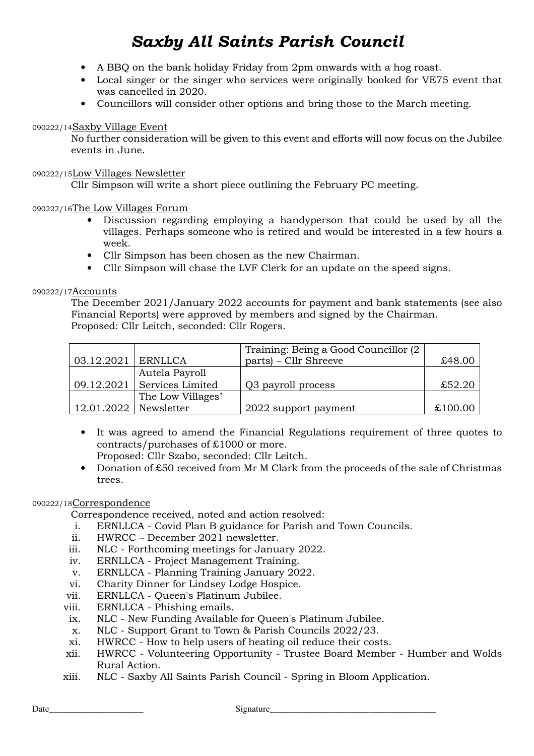- A BBQ on the bank holiday Friday from 2pm onwards with a hog roast.
- Local singer or the singer who services were originally booked for VE75 event that was cancelled in 2020.
- Councillors will consider other options and bring those to the March meeting.

# 090222/14Saxby Village Event

No further consideration will be given to this event and efforts will now focus on the Jubilee events in June.

#### 090222/15Low Villages Newsletter

Cllr Simpson will write a short piece outlining the February PC meeting.

# 090222/16The Low Villages Forum

- Discussion regarding employing a handyperson that could be used by all the villages. Perhaps someone who is retired and would be interested in a few hours a week.
- Cllr Simpson has been chosen as the new Chairman.
- Cllr Simpson will chase the LVF Clerk for an update on the speed signs.

# 090222/17Accounts

The December 2021/January 2022 accounts for payment and bank statements (see also Financial Reports) were approved by members and signed by the Chairman. Proposed: Cllr Leitch, seconded: Cllr Rogers.

|                      |                   | Training: Being a Good Councillor (2) |         |
|----------------------|-------------------|---------------------------------------|---------|
| 03.12.2021   ERNLLCA |                   | parts) – Cllr Shreeve                 | £48.00  |
|                      | Autela Payroll    |                                       |         |
| 09.12.2021           | Services Limited  | Q3 payroll process                    | £52.20  |
|                      | The Low Villages' |                                       |         |
| 12.01.2022           | Newsletter        | 2022 support payment                  | £100.00 |

- It was agreed to amend the Financial Regulations requirement of three quotes to contracts/purchases of £1000 or more. Proposed: Cllr Szabo, seconded: Cllr Leitch.
- Donation of £50 received from Mr M Clark from the proceeds of the sale of Christmas trees.

# 090222/18Correspondence

Correspondence received, noted and action resolved:

- i. ERNLLCA Covid Plan B guidance for Parish and Town Councils.
- ii. HWRCC December 2021 newsletter.
- iii. NLC Forthcoming meetings for January 2022.
- iv. ERNLLCA Project Management Training.
- v. ERNLLCA Planning Training January 2022.
- vi. Charity Dinner for Lindsey Lodge Hospice.
- vii. ERNLLCA Queen's Platinum Jubilee.
- viii. ERNLLCA Phishing emails.
- ix. NLC New Funding Available for Queen's Platinum Jubilee.
- x. NLC Support Grant to Town & Parish Councils 2022/23.
- xi. HWRCC How to help users of heating oil reduce their costs.
- xii. HWRCC Volunteering Opportunity Trustee Board Member Humber and Wolds Rural Action.
- xiii. NLC Saxby All Saints Parish Council Spring in Bloom Application.